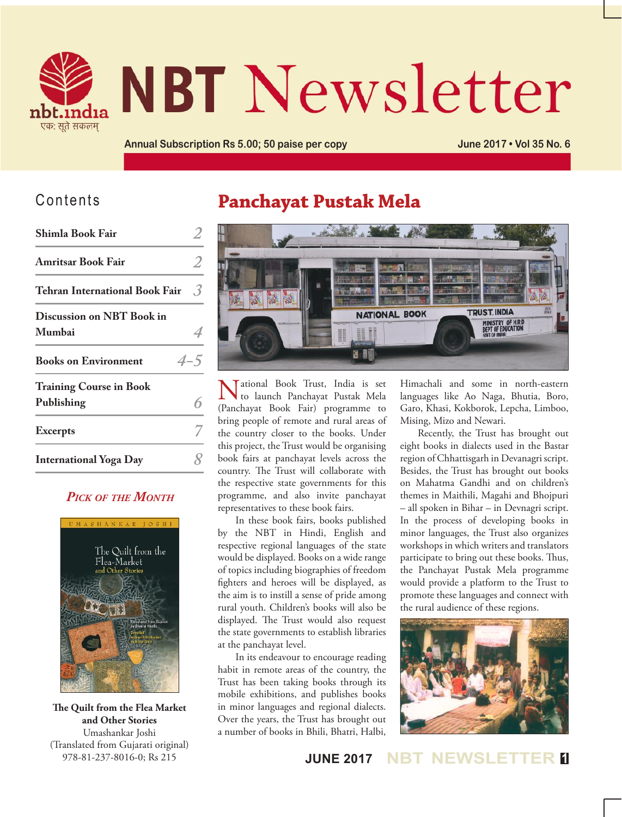

# **NBT Newsletter**

**Annual Subscription Rs 5.00; 50 paise per copy June 2017 • Vol 35 No. 6**

## Contents

| Shimla Book Fair                             |         |
|----------------------------------------------|---------|
| <b>Amritsar Book Fair</b>                    |         |
| <b>Tehran International Book Fair</b>        | 3       |
| <b>Discussion on NBT Book in</b><br>Mumbai   |         |
| <b>Books on Environment</b>                  | $4 - 5$ |
| <b>Training Course in Book</b><br>Publishing |         |
| <b>Excerpts</b>                              |         |
| <b>International Yoga Day</b>                |         |

## *Pick of the Month*



**The Quilt from the Flea Market and Other Stories** Umashankar Joshi (Translated from Gujarati original) 978-81-237-8016-0; Rs 215

# **Panchayat Pustak Mela**



National Book Trust, India is set to launch Panchayat Pustak Mela (Panchayat Book Fair) programme to bring people of remote and rural areas of the country closer to the books. Under this project, the Trust would be organising book fairs at panchayat levels across the country. The Trust will collaborate with the respective state governments for this programme, and also invite panchayat representatives to these book fairs.

In these book fairs, books published by the NBT in Hindi, English and respective regional languages of the state would be displayed. Books on a wide range of topics including biographies of freedom fighters and heroes will be displayed, as the aim is to instill a sense of pride among rural youth. Children's books will also be displayed. The Trust would also request the state governments to establish libraries at the panchayat level.

In its endeavour to encourage reading habit in remote areas of the country, the Trust has been taking books through its mobile exhibitions, and publishes books in minor languages and regional dialects. Over the years, the Trust has brought out a number of books in Bhili, Bhatri, Halbi,

Himachali and some in north-eastern languages like Ao Naga, Bhutia, Boro, Garo, Khasi, Kokborok, Lepcha, Limboo, Mising, Mizo and Newari.

Recently, the Trust has brought out eight books in dialects used in the Bastar region of Chhattisgarh in Devanagri script. Besides, the Trust has brought out books on Mahatma Gandhi and on children's themes in Maithili, Magahi and Bhojpuri – all spoken in Bihar – in Devnagri script. In the process of developing books in minor languages, the Trust also organizes workshops in which writers and translators participate to bring out these books. Thus, the Panchayat Pustak Mela programme would provide a platform to the Trust to promote these languages and connect with the rural audience of these regions.



**JUNE 2017 NBT NEWSLET**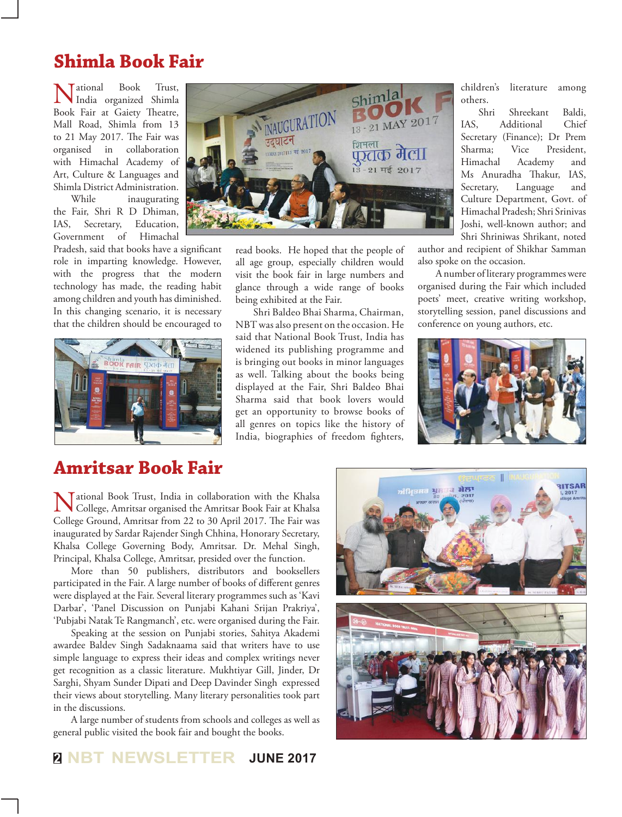# **Shimla Book Fair**

National Book Trust, India organized Shimla Book Fair at Gaiety Theatre, Mall Road, Shimla from 13 to 21 May 2017. The Fair was organised in collaboration with Himachal Academy of Art, Culture & Languages and Shimla District Administration.

While inaugurating the Fair, Shri R D Dhiman, IAS, Secretary, Education, Government of Himachal

Pradesh, said that books have a significant role in imparting knowledge. However, with the progress that the modern technology has made, the reading habit among children and youth has diminished. In this changing scenario, it is necessary that the children should be encouraged to



# Shimla INAUGURATION  $21$  MAY शिमला ष्ट्रातक मेला  $\frac{13}{21}$  - 21 मई 2017

read books. He hoped that the people of all age group, especially children would visit the book fair in large numbers and glance through a wide range of books being exhibited at the Fair.

Shri Baldeo Bhai Sharma, Chairman, NBT was also present on the occasion. He said that National Book Trust, India has widened its publishing programme and is bringing out books in minor languages as well. Talking about the books being displayed at the Fair, Shri Baldeo Bhai Sharma said that book lovers would get an opportunity to browse books of all genres on topics like the history of India, biographies of freedom fighters,

children's literature among others.

Shri Shreekant Baldi, IAS, Additional Secretary (Finance); Dr Prem Sharma; Vice President, Himachal Academy and Ms Anuradha Thakur, IAS, Secretary, Language and Culture Department, Govt. of Himachal Pradesh; Shri Srinivas Joshi, well-known author; and Shri Shriniwas Shrikant, noted

author and recipient of Shikhar Samman also spoke on the occasion.

A number of literary programmes were organised during the Fair which included poets' meet, creative writing workshop, storytelling session, panel discussions and conference on young authors, etc.



# **Amritsar Book Fair**

Tational Book Trust, India in collaboration with the Khalsa College, Amritsar organised the Amritsar Book Fair at Khalsa College Ground, Amritsar from 22 to 30 April 2017. The Fair was inaugurated by Sardar Rajender Singh Chhina, Honorary Secretary, Khalsa College Governing Body, Amritsar. Dr. Mehal Singh, Principal, Khalsa College, Amritsar, presided over the function.

More than 50 publishers, distributors and booksellers participated in the Fair. A large number of books of different genres were displayed at the Fair. Several literary programmes such as 'Kavi Darbar', 'Panel Discussion on Punjabi Kahani Srijan Prakriya', 'Pubjabi Natak Te Rangmanch', etc. were organised during the Fair.

Speaking at the session on Punjabi stories, Sahitya Akademi awardee Baldev Singh Sadaknaama said that writers have to use simple language to express their ideas and complex writings never get recognition as a classic literature. Mukhtiyar Gill, Jinder, Dr Sarghi, Shyam Sunder Dipati and Deep Davinder Singh expressed their views about storytelling. Many literary personalities took part in the discussions.

A large number of students from schools and colleges as well as general public visited the book fair and bought the books.

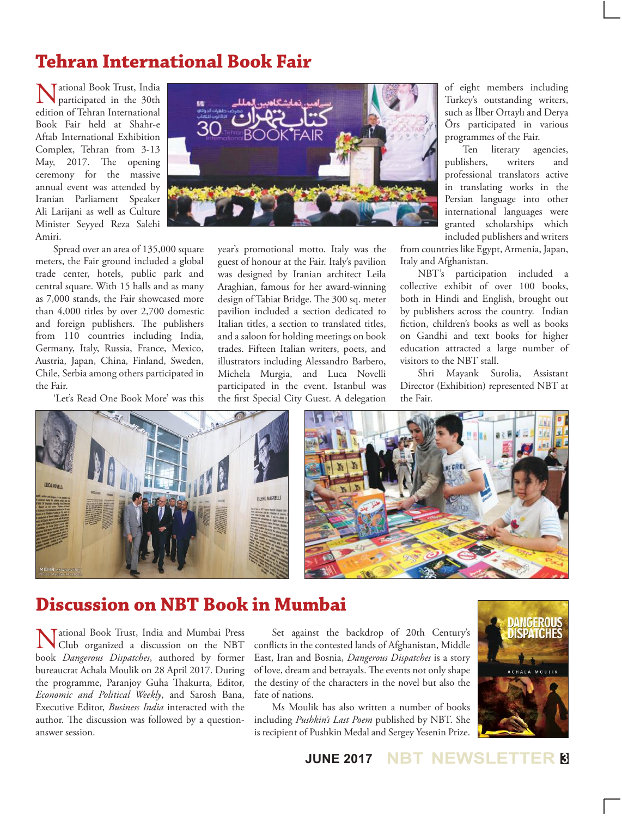# **Tehran International Book Fair**

Tational Book Trust, India participated in the 30th edition of Tehran International Book Fair held at Shahr-e Aftab International Exhibition Complex, Tehran from 3-13 May, 2017. The opening ceremony for the massive annual event was attended by Iranian Parliament Speaker Ali Larijani as well as Culture Minister Seyyed Reza Salehi Amiri.



Spread over an area of 135,000 square meters, the Fair ground included a global trade center, hotels, public park and central square. With 15 halls and as many as 7,000 stands, the Fair showcased more than 4,000 titles by over 2,700 domestic and foreign publishers. The publishers from 110 countries including India, Germany, Italy, Russia, France, Mexico, Austria, Japan, China, Finland, Sweden, Chile, Serbia among others participated in the Fair.

'Let's Read One Book More' was this

year's promotional motto. Italy was the guest of honour at the Fair. Italy's pavilion was designed by Iranian architect Leila Araghian, famous for her award-winning design of Tabiat Bridge. The 300 sq. meter pavilion included a section dedicated to Italian titles, a section to translated titles, and a saloon for holding meetings on book trades. Fifteen Italian writers, poets, and illustrators including Alessandro Barbero, Michela Murgia, and Luca Novelli participated in the event. Istanbul was the first Special City Guest. A delegation

of eight members including Turkey's outstanding writers, such as İlber Ortaylı and Derya Örs participated in various programmes of the Fair.

Ten literary agencies, publishers, writers and professional translators active in translating works in the Persian language into other international languages were granted scholarships which included publishers and writers

from countries like Egypt, Armenia, Japan, Italy and Afghanistan.

NBT's participation included a collective exhibit of over 100 books, both in Hindi and English, brought out by publishers across the country. Indian fiction, children's books as well as books on Gandhi and text books for higher education attracted a large number of visitors to the NBT stall.

Shri Mayank Surolia, Assistant Director (Exhibition) represented NBT at the Fair.





# **Discussion on NBT Book in Mumbai**

National Book Trust, India and Mumbai Press Club organized a discussion on the NBT book *Dangerous Dispatches*, authored by former bureaucrat Achala Moulik on 28 April 2017. During the programme, Paranjoy Guha Thakurta, Editor, *Economic and Political Weekly*, and Sarosh Bana, Executive Editor, *Business India* interacted with the author. The discussion was followed by a questionanswer session.

Set against the backdrop of 20th Century's conflicts in the contested lands of Afghanistan, Middle East, Iran and Bosnia, *Dangerous Dispatches* is a story of love, dream and betrayals. The events not only shape the destiny of the characters in the novel but also the fate of nations.

Ms Moulik has also written a number of books including *Pushkin's Last Poem* published by NBT. She is recipient of Pushkin Medal and Sergey Yesenin Prize.

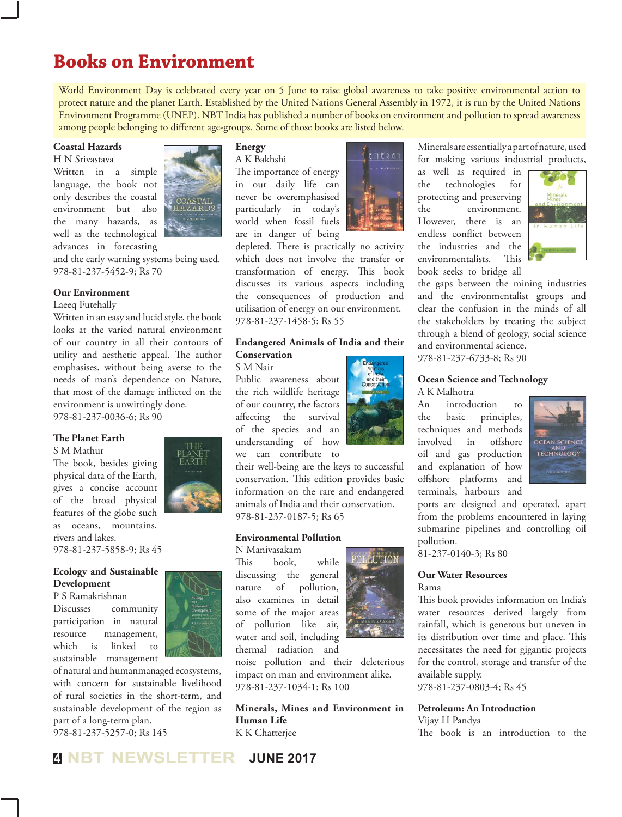# **Books on Environment**

World Environment Day is celebrated every year on 5 June to raise global awareness to take positive environmental action to protect nature and the planet Earth. Established by the United Nations General Assembly in 1972, it is run by the United Nations Environment Programme (UNEP). NBT India has published a number of books on environment and pollution to spread awareness among people belonging to different age-groups. Some of those books are listed below.

## **Coastal Hazards**

H N Srivastava

Written in a simple language, the book not only describes the coastal environment but also the many hazards, as well as the technological advances in forecasting



and the early warning systems being used. 978-81-237-5452-9; Rs 70

## **Our Environment**

#### Laeeq Futehally

Written in an easy and lucid style, the book looks at the varied natural environment of our country in all their contours of utility and aesthetic appeal. The author emphasises, without being averse to the needs of man's dependence on Nature, that most of the damage inflicted on the environment is unwittingly done. 978-81-237-0036-6; Rs 90

## **The Planet Earth**

S M Mathur

The book, besides giving physical data of the Earth, gives a concise account of the broad physical features of the globe such as oceans, mountains, rivers and lakes. 978-81-237-5858-9; Rs 45

## **Ecology and Sustainable Development**

P S Ramakrishnan Discusses community participation in natural resource management, which is linked to sustainable management



of natural and humanmanaged ecosystems, with concern for sustainable livelihood of rural societies in the short-term, and sustainable development of the region as part of a long-term plan. 978-81-237-5257-0; Rs 145

## **Energy**

A K Bakhshi The importance of energy in our daily life can never be overemphasised particularly in today's world when fossil fuels are in danger of being

depleted. There is practically no activity which does not involve the transfer or transformation of energy. This book discusses its various aspects including the consequences of production and utilisation of energy on our environment. 978-81-237-1458-5; Rs 55

## **Endangered Animals of India and their Conservation**

S M Nair

Public awareness about the rich wildlife heritage of our country, the factors affecting the survival of the species and an understanding of how we can contribute to

their well-being are the keys to successful conservation. This edition provides basic information on the rare and endangered animals of India and their conservation. 978-81-237-0187-5; Rs 65

## **Environmental Pollution**

N Manivasakam This book, while discussing the general nature of pollution, also examines in detail some of the major areas of pollution like air, water and soil, including thermal radiation and

noise pollution and their deleterious impact on man and environment alike. 978-81-237-1034-1; Rs 100

**Minerals, Mines and Environment in Human Life**  K K Chatterjee



Minerals are essentially a part of nature, used for making various industrial products,

as well as required in the technologies for protecting and preserving the environment. However, there is an endless conflict between the industries and the environmentalists. This book seeks to bridge all



the gaps between the mining industries and the environmentalist groups and clear the confusion in the minds of all the stakeholders by treating the subject through a blend of geology, social science and environmental science. 978-81-237-6733-8; Rs 90

## **Ocean Science and Technology**

A K Malhotra

An introduction to the basic principles, techniques and methods involved in offshore oil and gas production and explanation of how offshore platforms and terminals, harbours and



ports are designed and operated, apart from the problems encountered in laying submarine pipelines and controlling oil pollution.

81-237-0140-3; Rs 80

## **Our Water Resources**

Rama

This book provides information on India's water resources derived largely from rainfall, which is generous but uneven in its distribution over time and place. This necessitates the need for gigantic projects for the control, storage and transfer of the available supply.

978-81-237-0803-4; Rs 45

## **Petroleum: An Introduction**

Vijay H Pandya The book is an introduction to the

**NEWSLETTER JUNE 2017** 

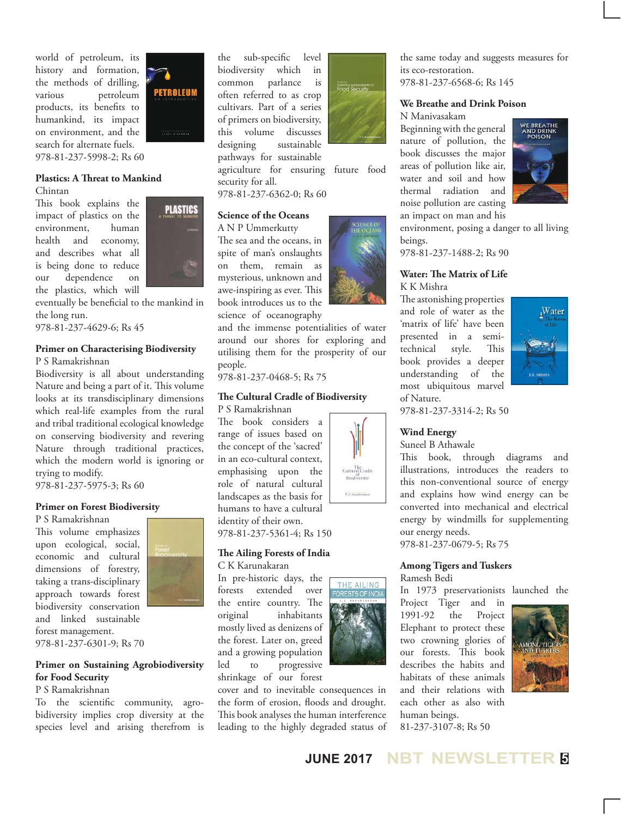world of petroleum, its history and formation, the methods of drilling, various petroleum products, its benefits to humankind, its impact on environment, and the search for alternate fuels. 978-81-237-5998-2; Rs 60

## **Plastics: A Threat to Mankind**

Chintan

This book explains the impact of plastics on the environment, human health and economy, and describes what all is being done to reduce our dependence on the plastics, which will



**PETROLEUM** 

eventually be beneficial to the mankind in the long run.

978-81-237-4629-6; Rs 45

## **Primer on Characterising Biodiversity**  P S Ramakrishnan

Biodiversity is all about understanding Nature and being a part of it. This volume looks at its transdisciplinary dimensions which real-life examples from the rural and tribal traditional ecological knowledge on conserving biodiversity and revering Nature through traditional practices, which the modern world is ignoring or trying to modify.

978-81-237-5975-3; Rs 60

## **Primer on Forest Biodiversity**

P S Ramakrishnan

This volume emphasizes upon ecological, social, economic and cultural dimensions of forestry, taking a trans-disciplinary approach towards forest biodiversity conservation and linked sustainable forest management.



978-81-237-6301-9; Rs 70

## **Primer on Sustaining Agrobiodiversity for Food Security**

## P S Ramakrishnan

To the scientific community, agrobidiversity implies crop diversity at the species level and arising therefrom is the sub-specific level biodiversity which in common parlance is often referred to as crop cultivars. Part of a series of primers on biodiversity, this volume discusses designing sustainable pathways for sustainable agriculture for ensuring future food

978-81-237-6362-0; Rs 60

**Science of the Oceans** A N P Ummerkutty The sea and the oceans, in spite of man's onslaughts on them, remain as mysterious, unknown and awe-inspiring as ever. This book introduces us to the science of oceanography

security for all.

people.



the same today and suggests measures for its eco-restoration. 978-81-237-6568-6; Rs 145

### **We Breathe and Drink Poison**  N Manivasakam

Beginning with the general nature of pollution, the book discusses the major areas of pollution like air, water and soil and how thermal radiation and noise pollution are casting an impact on man and his



environment, posing a danger to all living beings.

978-81-237-1488-2; Rs 90

## **Water: The Matrix of Life** K K Mishra

The astonishing properties and role of water as the 'matrix of life' have been presented in a semitechnical style. This book provides a deeper understanding of the most ubiquitous marvel of Nature.



978-81-237-3314-2; Rs 50

## **Wind Energy**

Suneel B Athawale

This book, through diagrams and illustrations, introduces the readers to this non-conventional source of energy and explains how wind energy can be converted into mechanical and electrical energy by windmills for supplementing our energy needs.

978-81-237-0679-5; Rs 75

#### **Among Tigers and Tuskers** Ramesh Bedi

In 1973 preservationists launched the Project Tiger and in 1991-92 the Project Elephant to protect these two crowning glories of our forests. This book describes the habits and habitats of these animals and their relations with each other as also with human beings. 81-237-3107-8; Rs 50





**JUNE 2017 NBT NEWSLETTER <sup>5</sup>**





THE AILING



and the immense potentialities of water around our shores for exploring and utilising them for the prosperity of our

978-81-237-0468-5; Rs 75 **The Cultural Cradle of Biodiversity** 

P S Ramakrishnan The book considers a range of issues based on the concept of the 'sacred' in an eco-cultural context, emphasising upon the role of natural cultural landscapes as the basis for humans to have a cultural

identity of their own. 978-81-237-5361-4; Rs 150

## **The Ailing Forests of India**  C K Karunakaran

In pre-historic days, the forests extended over the entire country. The original inhabitants mostly lived as denizens of the forest. Later on, greed and a growing population led to progressive shrinkage of our forest

cover and to inevitable consequences in the form of erosion, floods and drought. This book analyses the human interference leading to the highly degraded status of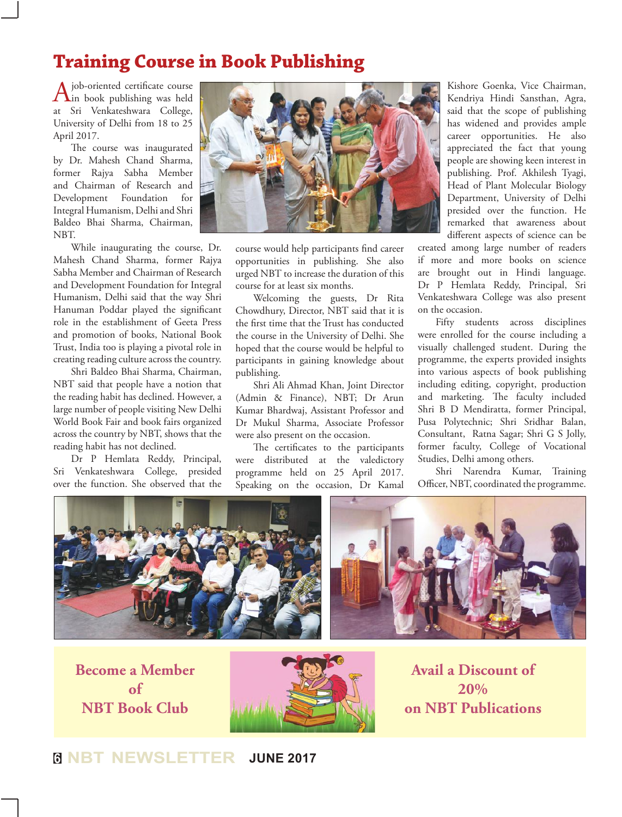# **Training Course in Book Publishing**

A job-oriented certificate course<br>
in book publishing was held at Sri Venkateshwara College, University of Delhi from 18 to 25 April 2017.

The course was inaugurated by Dr. Mahesh Chand Sharma, former Rajya Sabha Member and Chairman of Research and Development Foundation for Integral Humanism, Delhi and Shri Baldeo Bhai Sharma, Chairman, NBT.

While inaugurating the course, Dr. Mahesh Chand Sharma, former Rajya Sabha Member and Chairman of Research and Development Foundation for Integral Humanism, Delhi said that the way Shri Hanuman Poddar played the significant role in the establishment of Geeta Press and promotion of books, National Book Trust, India too is playing a pivotal role in creating reading culture across the country.

Shri Baldeo Bhai Sharma, Chairman, NBT said that people have a notion that the reading habit has declined. However, a large number of people visiting New Delhi World Book Fair and book fairs organized across the country by NBT, shows that the reading habit has not declined.

Dr P Hemlata Reddy, Principal, Sri Venkateshwara College, presided over the function. She observed that the



course would help participants find career opportunities in publishing. She also urged NBT to increase the duration of this course for at least six months.

Welcoming the guests, Dr Rita Chowdhury, Director, NBT said that it is the first time that the Trust has conducted the course in the University of Delhi. She hoped that the course would be helpful to participants in gaining knowledge about publishing.

Shri Ali Ahmad Khan, Joint Director (Admin & Finance), NBT; Dr Arun Kumar Bhardwaj, Assistant Professor and Dr Mukul Sharma, Associate Professor were also present on the occasion.

The certificates to the participants were distributed at the valedictory programme held on 25 April 2017. Speaking on the occasion, Dr Kamal

Kishore Goenka, Vice Chairman, Kendriya Hindi Sansthan, Agra, said that the scope of publishing has widened and provides ample career opportunities. He also appreciated the fact that young people are showing keen interest in publishing. Prof. Akhilesh Tyagi, Head of Plant Molecular Biology Department, University of Delhi presided over the function. He remarked that awareness about different aspects of science can be

created among large number of readers if more and more books on science are brought out in Hindi language. Dr P Hemlata Reddy, Principal, Sri Venkateshwara College was also present on the occasion.

Fifty students across disciplines were enrolled for the course including a visually challenged student. During the programme, the experts provided insights into various aspects of book publishing including editing, copyright, production and marketing. The faculty included Shri B D Mendiratta, former Principal, Pusa Polytechnic; Shri Sridhar Balan, Consultant, Ratna Sagar; Shri G S Jolly, former faculty, College of Vocational Studies, Delhi among others.

Shri Narendra Kumar, Training Officer, NBT, coordinated the programme.



**Become a Member of NBT Book Club**



**Avail a Discount of 20% on NBT Publications**

**<sup>6</sup> NBT NEWSLETTER JUNE 2017**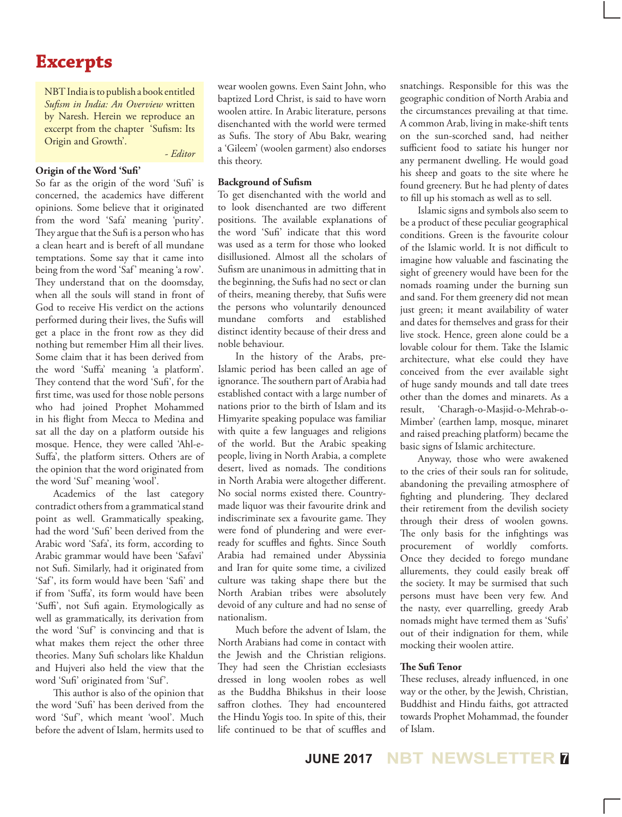# **Excerpts**

NBT India is to publish a book entitled *Sufism in India: An Overview* written by Naresh. Herein we reproduce an excerpt from the chapter 'Sufism: Its Origin and Growth'.

*- Editor*

## **Origin of the Word 'Sufi'**

So far as the origin of the word 'Sufi' is concerned, the academics have different opinions. Some believe that it originated from the word 'Safa' meaning 'purity'. They argue that the Sufi is a person who has a clean heart and is bereft of all mundane temptations. Some say that it came into being from the word 'Saf' meaning 'a row'. They understand that on the doomsday, when all the souls will stand in front of God to receive His verdict on the actions performed during their lives, the Sufis will get a place in the front row as they did nothing but remember Him all their lives. Some claim that it has been derived from the word 'Suffa' meaning 'a platform'. They contend that the word 'Sufi', for the first time, was used for those noble persons who had joined Prophet Mohammed in his flight from Mecca to Medina and sat all the day on a platform outside his mosque. Hence, they were called 'Ahl-e-Suffa', the platform sitters. Others are of the opinion that the word originated from the word 'Suf' meaning 'wool'.

Academics of the last category contradict others from a grammatical stand point as well. Grammatically speaking, had the word 'Sufi' been derived from the Arabic word 'Safa', its form, according to Arabic grammar would have been 'Safavi' not Sufi. Similarly, had it originated from 'Saf', its form would have been 'Safi' and if from 'Suffa', its form would have been 'Suffi', not Sufi again. Etymologically as well as grammatically, its derivation from the word 'Suf' is convincing and that is what makes them reject the other three theories. Many Sufi scholars like Khaldun and Hujveri also held the view that the word 'Sufi' originated from 'Suf'.

This author is also of the opinion that the word 'Sufi' has been derived from the word 'Suf', which meant 'wool'. Much before the advent of Islam, hermits used to wear woolen gowns. Even Saint John, who baptized Lord Christ, is said to have worn woolen attire. In Arabic literature, persons disenchanted with the world were termed as Sufis. The story of Abu Bakr, wearing a 'Gileem' (woolen garment) also endorses this theory.

#### **Background of Sufism**

To get disenchanted with the world and to look disenchanted are two different positions. The available explanations of the word 'Sufi' indicate that this word was used as a term for those who looked disillusioned. Almost all the scholars of Sufism are unanimous in admitting that in the beginning, the Sufis had no sect or clan of theirs, meaning thereby, that Sufis were the persons who voluntarily denounced mundane comforts and established distinct identity because of their dress and noble behaviour.

In the history of the Arabs, pre-Islamic period has been called an age of ignorance. The southern part of Arabia had established contact with a large number of nations prior to the birth of Islam and its Himyarite speaking populace was familiar with quite a few languages and religions of the world. But the Arabic speaking people, living in North Arabia, a complete desert, lived as nomads. The conditions in North Arabia were altogether different. No social norms existed there. Countrymade liquor was their favourite drink and indiscriminate sex a favourite game. They were fond of plundering and were everready for scuffles and fights. Since South Arabia had remained under Abyssinia and Iran for quite some time, a civilized culture was taking shape there but the North Arabian tribes were absolutely devoid of any culture and had no sense of nationalism.

Much before the advent of Islam, the North Arabians had come in contact with the Jewish and the Christian religions. They had seen the Christian ecclesiasts dressed in long woolen robes as well as the Buddha Bhikshus in their loose saffron clothes. They had encountered the Hindu Yogis too. In spite of this, their life continued to be that of scuffles and

snatchings. Responsible for this was the geographic condition of North Arabia and the circumstances prevailing at that time. A common Arab, living in make-shift tents on the sun-scorched sand, had neither sufficient food to satiate his hunger nor any permanent dwelling. He would goad his sheep and goats to the site where he found greenery. But he had plenty of dates to fill up his stomach as well as to sell.

Islamic signs and symbols also seem to be a product of these peculiar geographical conditions. Green is the favourite colour of the Islamic world. It is not difficult to imagine how valuable and fascinating the sight of greenery would have been for the nomads roaming under the burning sun and sand. For them greenery did not mean just green; it meant availability of water and dates for themselves and grass for their live stock. Hence, green alone could be a lovable colour for them. Take the Islamic architecture, what else could they have conceived from the ever available sight of huge sandy mounds and tall date trees other than the domes and minarets. As a result, 'Charagh-o-Masjid-o-Mehrab-o-Mimber' (earthen lamp, mosque, minaret and raised preaching platform) became the basic signs of Islamic architecture.

Anyway, those who were awakened to the cries of their souls ran for solitude, abandoning the prevailing atmosphere of fighting and plundering. They declared their retirement from the devilish society through their dress of woolen gowns. The only basis for the infightings was procurement of worldly comforts. Once they decided to forego mundane allurements, they could easily break off the society. It may be surmised that such persons must have been very few. And the nasty, ever quarrelling, greedy Arab nomads might have termed them as 'Sufis' out of their indignation for them, while mocking their woolen attire.

## **The Sufi Tenor**

These recluses, already influenced, in one way or the other, by the Jewish, Christian, Buddhist and Hindu faiths, got attracted towards Prophet Mohammad, the founder of Islam.